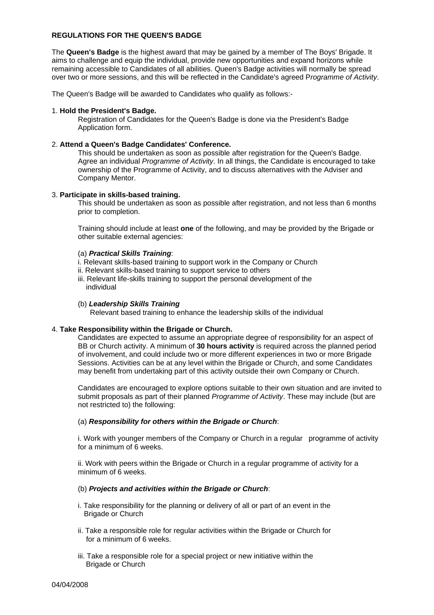# **REGULATIONS FOR THE QUEEN'S BADGE**

The **Queen's Badge** is the highest award that may be gained by a member of The Boys' Brigade. It aims to challenge and equip the individual, provide new opportunities and expand horizons while remaining accessible to Candidates of all abilities. Queen's Badge activities will normally be spread over two or more sessions, and this will be reflected in the Candidate's agreed P*rogramme of Activity*.

The Queen's Badge will be awarded to Candidates who qualify as follows:-

### 1. **Hold the President's Badge.**

Registration of Candidates for the Queen's Badge is done via the President's Badge Application form.

### 2. **Attend a Queen's Badge Candidates' Conference.**

This should be undertaken as soon as possible after registration for the Queen's Badge. Agree an individual *Programme of Activity*. In all things, the Candidate is encouraged to take ownership of the Programme of Activity, and to discuss alternatives with the Adviser and Company Mentor.

#### 3. **Participate in skills-based training.**

This should be undertaken as soon as possible after registration, and not less than 6 months prior to completion.

Training should include at least **one** of the following, and may be provided by the Brigade or other suitable external agencies:

#### (a) *Practical Skills Training*:

- i. Relevant skills-based training to support work in the Company or Church
- ii. Relevant skills-based training to support service to others
- iii. Relevant life-skills training to support the personal development of the individual

#### (b) *Leadership Skills Training*

Relevant based training to enhance the leadership skills of the individual

## 4. **Take Responsibility within the Brigade or Church.**

Candidates are expected to assume an appropriate degree of responsibility for an aspect of BB or Church activity. A minimum of **30 hours activity** is required across the planned period of involvement, and could include two or more different experiences in two or more Brigade Sessions. Activities can be at any level within the Brigade or Church, and some Candidates may benefit from undertaking part of this activity outside their own Company or Church.

Candidates are encouraged to explore options suitable to their own situation and are invited to submit proposals as part of their planned *Programme of Activity*. These may include (but are not restricted to) the following:

#### (a) *Responsibility for others within the Brigade or Church*:

i. Work with younger members of the Company or Church in a regular programme of activity for a minimum of 6 weeks.

ii. Work with peers within the Brigade or Church in a regular programme of activity for a minimum of 6 weeks.

#### (b) *Projects and activities within the Brigade or Church*:

- i. Take responsibility for the planning or delivery of all or part of an event in the Brigade or Church
- ii. Take a responsible role for regular activities within the Brigade or Church for for a minimum of 6 weeks.
- iii. Take a responsible role for a special project or new initiative within the Brigade or Church